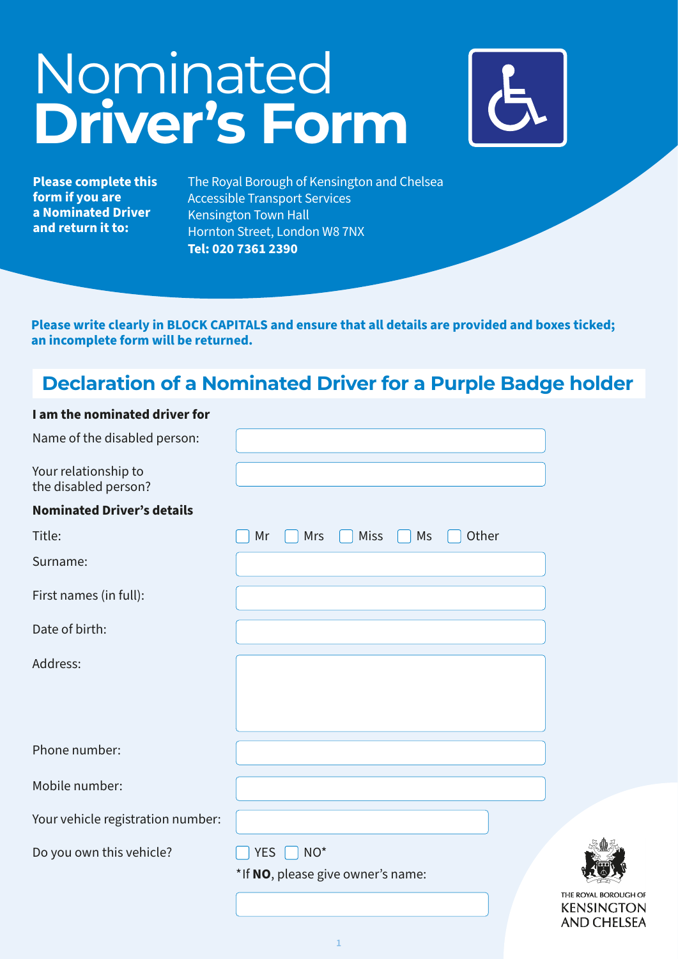# Nominated **Driver's Form**



√

**AND CHELSEA** 

**Please complete this form if you are a Nominated Driver and return it to:**

The Royal Borough of Kensington and Chelsea Accessible Transport Services Kensington Town Hall Hornton Street, London W8 7NX **Tel: 020 7361 2390**

**Please write clearly in BLOCK CAPITALS and ensure that all details are provided and boxes ticked; an incomplete form will be returned.**

## **Declaration of a Nominated Driver for a Purple Badge holder**

#### **I am the nominated driver for**

| Name of the disabled person:                 |                                         |                                          |
|----------------------------------------------|-----------------------------------------|------------------------------------------|
| Your relationship to<br>the disabled person? |                                         |                                          |
| <b>Nominated Driver's details</b>            |                                         |                                          |
| Title:                                       | <b>Miss</b><br>Other<br>Mr<br>Mrs<br>Ms |                                          |
| Surname:                                     |                                         |                                          |
| First names (in full):                       |                                         |                                          |
| Date of birth:                               |                                         |                                          |
| Address:                                     |                                         |                                          |
|                                              |                                         |                                          |
|                                              |                                         |                                          |
| Phone number:                                |                                         |                                          |
| Mobile number:                               |                                         |                                          |
| Your vehicle registration number:            |                                         |                                          |
| Do you own this vehicle?                     | $NO*$<br><b>YES</b>                     |                                          |
|                                              | *If NO, please give owner's name:       |                                          |
|                                              |                                         | THE ROYAL BOROUGH O<br><b>KENSINGTOI</b> |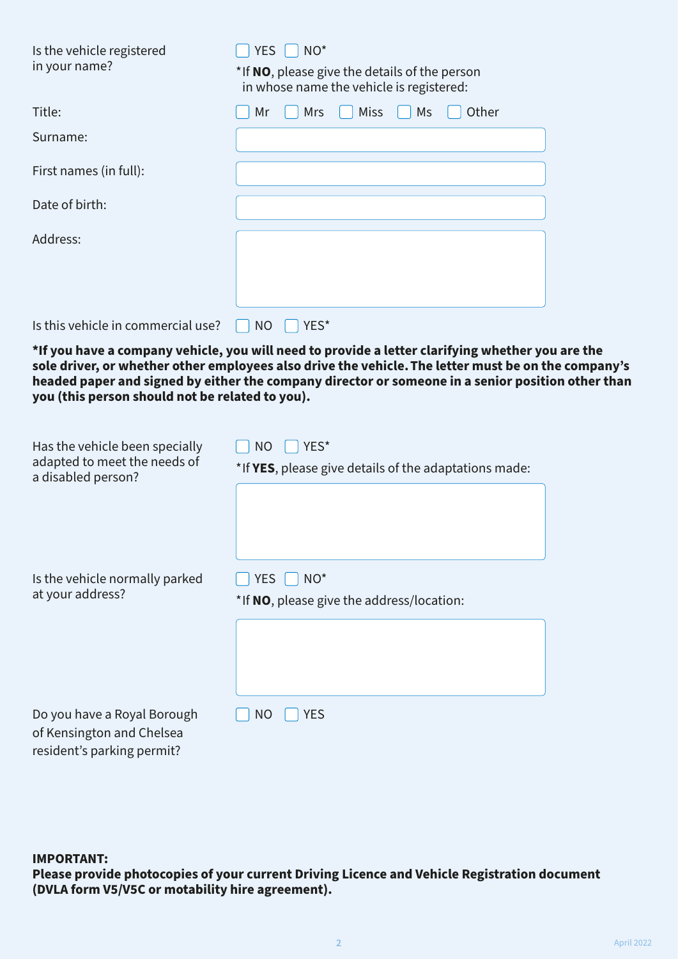| Is the vehicle registered<br>in your name?                                           | <b>YES</b><br>NO <sup>*</sup><br>*If NO, please give the details of the person<br>in whose name the vehicle is registered:                                                                                                                                                                                   |  |
|--------------------------------------------------------------------------------------|--------------------------------------------------------------------------------------------------------------------------------------------------------------------------------------------------------------------------------------------------------------------------------------------------------------|--|
| Title:                                                                               | Mr<br><b>Miss</b><br>Other<br>Mrs<br>Ms                                                                                                                                                                                                                                                                      |  |
| Surname:                                                                             |                                                                                                                                                                                                                                                                                                              |  |
| First names (in full):                                                               |                                                                                                                                                                                                                                                                                                              |  |
| Date of birth:                                                                       |                                                                                                                                                                                                                                                                                                              |  |
| Address:                                                                             |                                                                                                                                                                                                                                                                                                              |  |
| Is this vehicle in commercial use?                                                   | <b>NO</b><br>YES*                                                                                                                                                                                                                                                                                            |  |
| you (this person should not be related to you).                                      | *If you have a company vehicle, you will need to provide a letter clarifying whether you are the<br>sole driver, or whether other employees also drive the vehicle. The letter must be on the company's<br>headed paper and signed by either the company director or someone in a senior position other than |  |
| Has the vehicle been specially<br>adapted to meet the needs of<br>a disabled person? | <b>NO</b><br>YES*<br>*If YES, please give details of the adaptations made:                                                                                                                                                                                                                                   |  |

| Is the vehicle normally parked<br>at your address?       | NO <sup>*</sup><br><b>YES</b><br>*If NO, please give the address/location: |
|----------------------------------------------------------|----------------------------------------------------------------------------|
|                                                          |                                                                            |
| Do you have a Royal Borough<br>of Kensington and Chelsea | <b>YES</b><br>NO                                                           |

**IMPORTANT:**

resident's parking permit?

**Please provide photocopies of your current Driving Licence and Vehicle Registration document (DVLA form V5/V5C or motability hire agreement).**